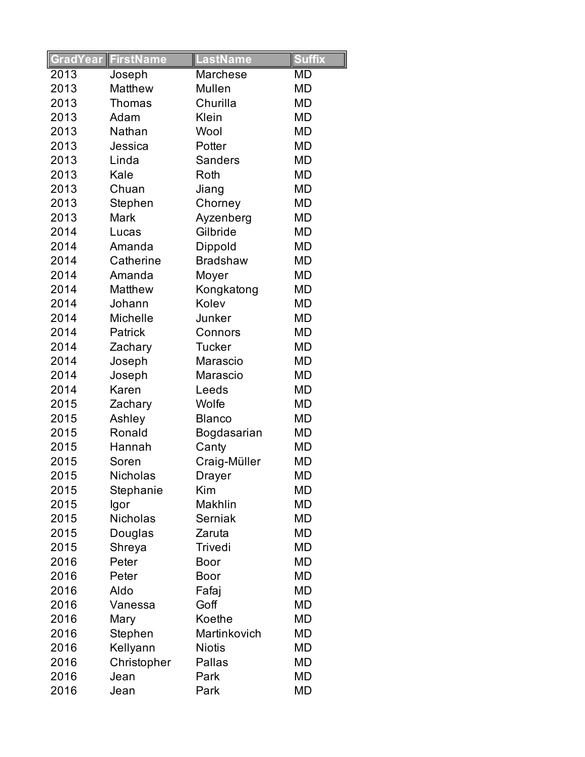|      | <b>GradYear FirstName</b> | LastName        | <b>Suffix</b> |
|------|---------------------------|-----------------|---------------|
| 2013 | Joseph                    | Marchese        | MD            |
| 2013 | Matthew                   | Mullen          | MD            |
| 2013 | Thomas                    | Churilla        | MD            |
| 2013 | Adam                      | Klein           | MD            |
| 2013 | Nathan                    | Wool            | MD            |
| 2013 | Jessica                   | Potter          | MD            |
| 2013 | Linda                     | <b>Sanders</b>  | MD            |
| 2013 | Kale                      | Roth            | MD            |
| 2013 | Chuan                     | Jiang           | MD            |
| 2013 | Stephen                   | Chorney         | MD            |
| 2013 | Mark                      | Ayzenberg       | MD            |
| 2014 | Lucas                     | Gilbride        | MD            |
| 2014 | Amanda                    | Dippold         | MD            |
| 2014 | Catherine                 | <b>Bradshaw</b> | MD            |
| 2014 | Amanda                    | Moyer           | MD            |
| 2014 | Matthew                   | Kongkatong      | MD            |
| 2014 | Johann                    | Kolev           | MD            |
| 2014 | <b>Michelle</b>           | Junker          | MD            |
| 2014 | <b>Patrick</b>            | Connors         | MD            |
| 2014 | Zachary                   | <b>Tucker</b>   | MD            |
| 2014 | Joseph                    | Marascio        | MD            |
| 2014 | Joseph                    | Marascio        | MD            |
| 2014 | Karen                     | Leeds           | MD            |
| 2015 | Zachary                   | Wolfe           | MD            |
| 2015 | Ashley                    | <b>Blanco</b>   | MD            |
| 2015 | Ronald                    | Bogdasarian     | MD            |
| 2015 | Hannah                    | Canty           | MD            |
| 2015 | Soren                     | Craig-Müller    | MD            |
| 2015 | Nicholas                  | Drayer          | <b>MD</b>     |
| 2015 | Stephanie                 | Kim             | MD            |
| 2015 | lgor                      | Makhlin         | MD            |
| 2015 | Nicholas                  | <b>Serniak</b>  | MD            |
| 2015 | Douglas                   | Zaruta          | MD            |
| 2015 | Shreya                    | Trivedi         | MD            |
| 2016 | Peter                     | Boor            | MD            |
| 2016 | Peter                     | <b>Boor</b>     | MD            |
| 2016 | Aldo                      | Fafaj           | MD            |
| 2016 | Vanessa                   | Goff            | MD            |
| 2016 | Mary                      | Koethe          | MD            |
| 2016 | Stephen                   | Martinkovich    | MD            |
| 2016 | Kellyann                  | <b>Niotis</b>   | MD            |
| 2016 | Christopher               | Pallas          | MD            |
| 2016 | Jean                      | Park            | MD            |
| 2016 | Jean                      | Park            | MD            |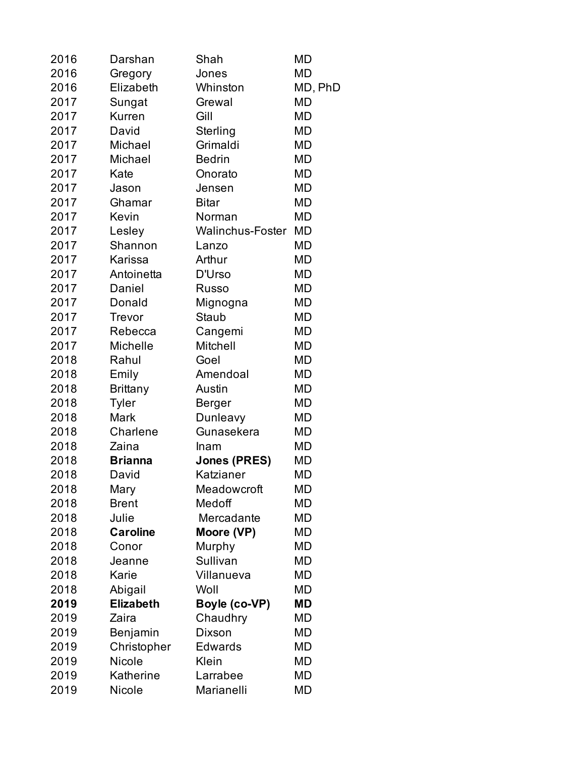| 2016 | Darshan          | Shah                    | MD        |
|------|------------------|-------------------------|-----------|
| 2016 | Gregory          | Jones                   | <b>MD</b> |
| 2016 | Elizabeth        | Whinston                | MD, PhD   |
| 2017 | Sungat           | Grewal                  | MD        |
| 2017 | Kurren           | Gill                    | MD        |
| 2017 | David            | Sterling                | <b>MD</b> |
| 2017 | Michael          | Grimaldi                | <b>MD</b> |
| 2017 | Michael          | <b>Bedrin</b>           | <b>MD</b> |
| 2017 | Kate             | Onorato                 | MD        |
| 2017 | Jason            | Jensen                  | <b>MD</b> |
| 2017 | Ghamar           | <b>Bitar</b>            | MD        |
| 2017 | Kevin            | Norman                  | <b>MD</b> |
| 2017 | Lesley           | <b>Walinchus-Foster</b> | <b>MD</b> |
| 2017 | Shannon          | Lanzo                   | <b>MD</b> |
| 2017 | Karissa          | Arthur                  | MD        |
| 2017 | Antoinetta       | D'Urso                  | MD        |
| 2017 | Daniel           | <b>Russo</b>            | <b>MD</b> |
| 2017 | Donald           | Mignogna                | MD        |
| 2017 | Trevor           | Staub                   | <b>MD</b> |
| 2017 | Rebecca          | Cangemi                 | <b>MD</b> |
| 2017 | Michelle         | Mitchell                | MD        |
| 2018 | Rahul            | Goel                    | <b>MD</b> |
| 2018 | Emily            | Amendoal                | <b>MD</b> |
| 2018 | <b>Brittany</b>  | Austin                  | <b>MD</b> |
| 2018 | <b>Tyler</b>     | <b>Berger</b>           | MD        |
| 2018 | Mark             | Dunleavy                | MD        |
| 2018 | Charlene         | Gunasekera              | <b>MD</b> |
| 2018 | Zaina            | Inam                    | MD        |
| 2018 | <b>Brianna</b>   | <b>Jones (PRES)</b>     | MD        |
| 2018 | David            | Katzianer               | MD        |
| 2018 | Mary             | Meadowcroft             | MD        |
| 2018 | <b>Brent</b>     | Medoff                  | MD        |
| 2018 | Julie            | Mercadante              | MD        |
| 2018 | <b>Caroline</b>  | Moore (VP)              | <b>MD</b> |
| 2018 | Conor            | Murphy                  | MD        |
| 2018 | Jeanne           | Sullivan                | MD        |
| 2018 | Karie            | Villanueva              | MD        |
| 2018 | Abigail          | Woll                    | MD        |
| 2019 | <b>Elizabeth</b> | Boyle (co-VP)           | MD        |
| 2019 | Zaira            | Chaudhry                | MD        |
| 2019 | Benjamin         | Dixson                  | MD        |
| 2019 | Christopher      | <b>Edwards</b>          | MD        |
| 2019 | Nicole           | Klein                   | MD        |
| 2019 | Katherine        | Larrabee                | MD        |
| 2019 | Nicole           | Marianelli              | MD        |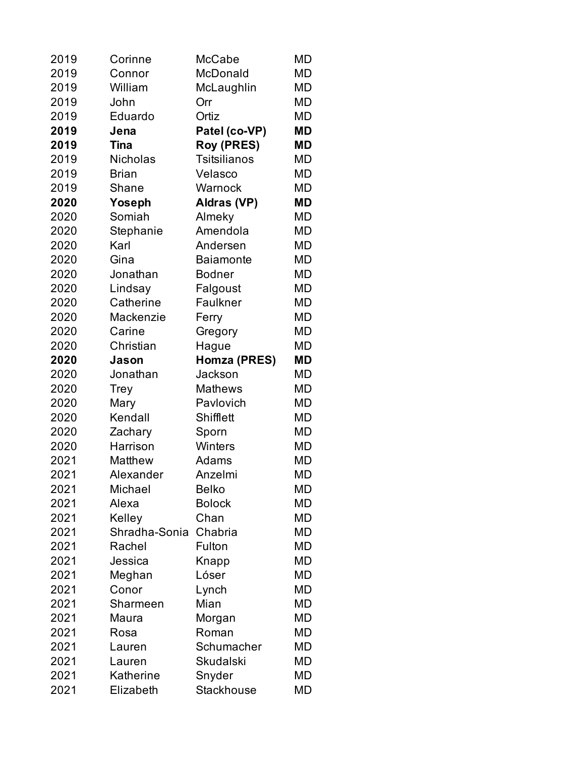| 2019 | Corinne         | McCabe              | MD        |
|------|-----------------|---------------------|-----------|
| 2019 | Connor          | McDonald            | MD        |
| 2019 | William         | McLaughlin          | MD        |
| 2019 | John            | Orr                 | MD        |
| 2019 | Eduardo         | Ortiz               | MD        |
| 2019 | Jena            | Patel (co-VP)       | MD        |
| 2019 | <b>Tina</b>     | Roy (PRES)          | MD        |
| 2019 | <b>Nicholas</b> | <b>Tsitsilianos</b> | MD        |
| 2019 | <b>Brian</b>    | Velasco             | MD        |
| 2019 | Shane           | Warnock             | MD        |
| 2020 | Yoseph          | Aldras (VP)         | <b>MD</b> |
| 2020 | Somiah          | Almeky              | MD        |
| 2020 | Stephanie       | Amendola            | MD        |
| 2020 | Karl            | Andersen            | MD        |
| 2020 | Gina            | <b>Baiamonte</b>    | MD        |
| 2020 | Jonathan        | <b>Bodner</b>       | MD        |
| 2020 | Lindsay         | Falgoust            | MD        |
| 2020 | Catherine       | Faulkner            | MD        |
| 2020 | Mackenzie       | Ferry               | <b>MD</b> |
| 2020 | Carine          | Gregory             | MD        |
| 2020 | Christian       | Hague               | MD        |
| 2020 | Jason           | Homza (PRES)        | MD        |
| 2020 | Jonathan        | Jackson             | MD        |
| 2020 | Trey            | <b>Mathews</b>      | MD        |
| 2020 | Mary            | Pavlovich           | MD        |
| 2020 | Kendall         | Shifflett           | MD        |
| 2020 | Zachary         | Sporn               | MD        |
| 2020 | Harrison        | Winters             | MD        |
| 2021 | Matthew         | Adams               | MD        |
| 2021 | Alexander       | Anzelmi             | MD        |
| 2021 | Michael         | <b>Belko</b>        | MD        |
| 2021 | Alexa           | <b>Bolock</b>       | MD        |
| 2021 | Kelley          | Chan                | MD        |
| 2021 | Shradha-Sonia   | Chabria             | MD        |
| 2021 | Rachel          | Fulton              | MD        |
| 2021 | Jessica         | Knapp               | MD        |
| 2021 | Meghan          | Lóser               | MD        |
| 2021 | Conor           | Lynch               | MD        |
| 2021 | Sharmeen        | Mian                | MD        |
| 2021 | Maura           | Morgan              | MD        |
| 2021 | Rosa            | Roman               | MD        |
| 2021 | Lauren          | Schumacher          | MD        |
| 2021 | Lauren          | <b>Skudalski</b>    | MD        |
| 2021 | Katherine       | Snyder              | MD        |
| 2021 | Elizabeth       | <b>Stackhouse</b>   | MD        |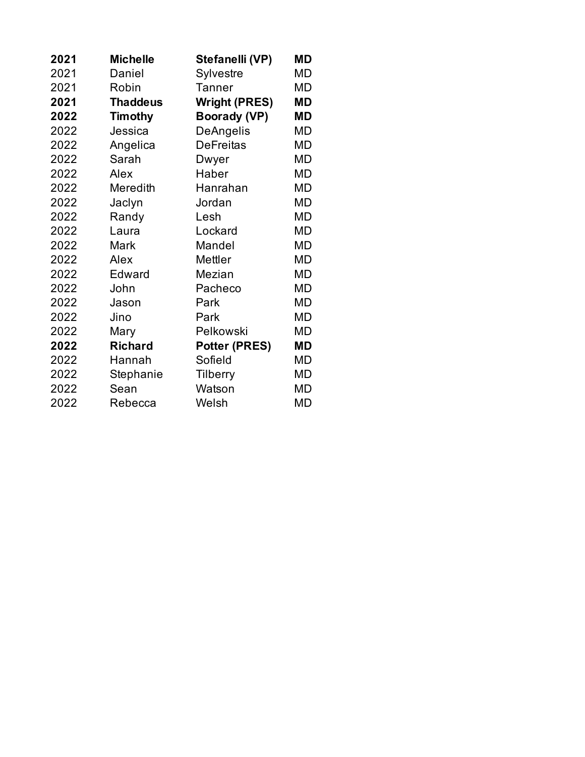| 2021 | <b>Michelle</b> | Stefanelli (VP)      | MD        |
|------|-----------------|----------------------|-----------|
| 2021 | Daniel          | Sylvestre            | MD        |
| 2021 | Robin           | <b>Tanner</b>        | MD        |
| 2021 | <b>Thaddeus</b> | <b>Wright (PRES)</b> | MD        |
| 2022 | Timothy         | <b>Boorady (VP)</b>  | MD        |
| 2022 | Jessica         | DeAngelis            | MD        |
| 2022 | Angelica        | <b>DeFreitas</b>     | MD        |
| 2022 | Sarah           | Dwyer                | MD        |
| 2022 | Alex            | Haber                | MD        |
| 2022 | Meredith        | Hanrahan             | MD        |
| 2022 | Jaclyn          | Jordan               | <b>MD</b> |
| 2022 | Randy           | Lesh                 | MD        |
| 2022 | Laura           | Lockard              | MD        |
| 2022 | Mark            | Mandel               | MD        |
| 2022 | Alex            | Mettler              | MD        |
| 2022 | Edward          | Mezian               | MD        |
| 2022 | John            | Pacheco              | MD        |
| 2022 | Jason           | Park                 | MD        |
| 2022 | Jino            | Park                 | MD        |
| 2022 | Mary            | Pelkowski            | MD        |
| 2022 | <b>Richard</b>  | <b>Potter (PRES)</b> | <b>MD</b> |
| 2022 | Hannah          | Sofield              | MD        |
| 2022 | Stephanie       | Tilberry             | MD        |
| 2022 | Sean            | Watson               | MD        |
| 2022 | Rebecca         | Welsh                | MD        |